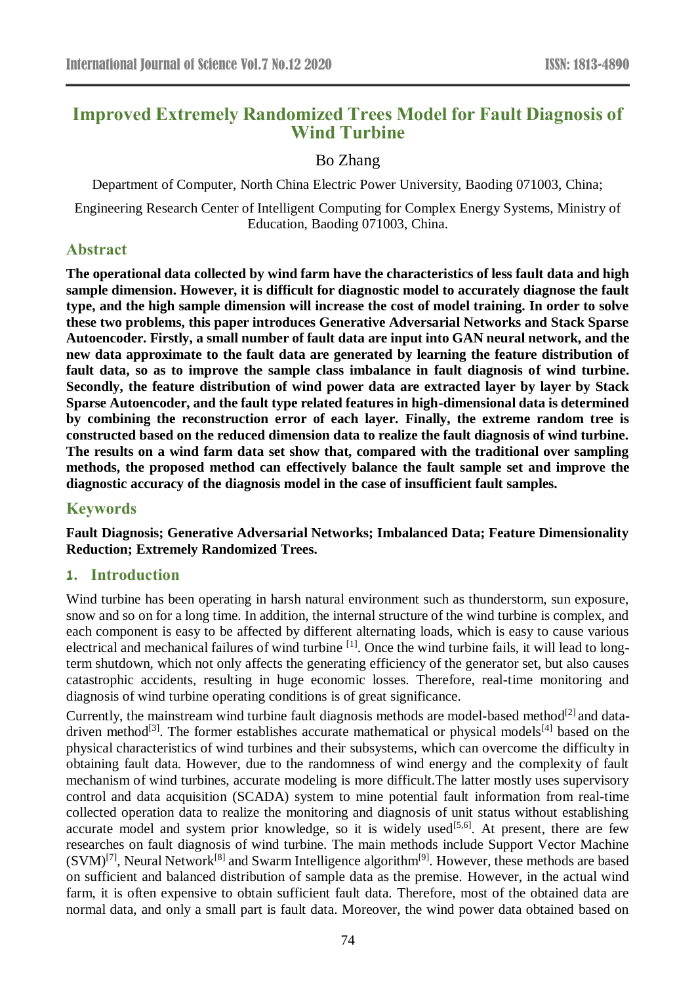# **Improved Extremely Randomized Trees Model for Fault Diagnosis of Wind Turbine**

# Bo Zhang

Department of Computer, North China Electric Power University, Baoding 071003, China;

Engineering Research Center of Intelligent Computing for Complex Energy Systems, Ministry of Education, Baoding 071003, China.

# **Abstract**

**The operational data collected by wind farm have the characteristics of less fault data and high sample dimension. However, it is difficult for diagnostic model to accurately diagnose the fault type, and the high sample dimension will increase the cost of model training. In order to solve these two problems, this paper introduces Generative Adversarial Networks and Stack Sparse Autoencoder. Firstly, a small number of fault data are input into GAN neural network, and the new data approximate to the fault data are generated by learning the feature distribution of fault data, so as to improve the sample class imbalance in fault diagnosis of wind turbine. Secondly, the feature distribution of wind power data are extracted layer by layer by Stack Sparse Autoencoder, and the fault type related features in high-dimensional data is determined by combining the reconstruction error of each layer. Finally, the extreme random tree is constructed based on the reduced dimension data to realize the fault diagnosis of wind turbine. The results on a wind farm data set show that, compared with the traditional over sampling methods, the proposed method can effectively balance the fault sample set and improve the diagnostic accuracy of the diagnosis model in the case of insufficient fault samples.**

# **Keywords**

**Fault Diagnosis; Generative Adversarial Networks; Imbalanced Data; Feature Dimensionality Reduction; Extremely Randomized Trees.**

# **1. Introduction**

Wind turbine has been operating in harsh natural environment such as thunderstorm, sun exposure, snow and so on for a long time. In addition, the internal structure of the wind turbine is complex, and each component is easy to be affected by different alternating loads, which is easy to cause various electrical and mechanical failures of wind turbine <sup>[1]</sup>. Once the wind turbine fails, it will lead to longterm shutdown, which not only affects the generating efficiency of the generator set, but also causes catastrophic accidents, resulting in huge economic losses. Therefore, real-time monitoring and diagnosis of wind turbine operating conditions is of great significance.

Currently, the mainstream wind turbine fault diagnosis methods are model-based method<sup>[2]</sup> and datadriven method<sup>[3]</sup>. The former establishes accurate mathematical or physical models<sup>[4]</sup> based on the physical characteristics of wind turbines and their subsystems, which can overcome the difficulty in obtaining fault data. However, due to the randomness of wind energy and the complexity of fault mechanism of wind turbines, accurate modeling is more difficult.The latter mostly uses supervisory control and data acquisition (SCADA) system to mine potential fault information from real-time collected operation data to realize the monitoring and diagnosis of unit status without establishing accurate model and system prior knowledge, so it is widely used<sup>[5,6]</sup>. At present, there are few researches on fault diagnosis of wind turbine. The main methods include Support Vector Machine  $(SVM)^{[7]}$ , Neural Network<sup>[8]</sup> and Swarm Intelligence algorithm<sup>[9]</sup>. However, these methods are based on sufficient and balanced distribution of sample data as the premise. However, in the actual wind farm, it is often expensive to obtain sufficient fault data. Therefore, most of the obtained data are normal data, and only a small part is fault data. Moreover, the wind power data obtained based on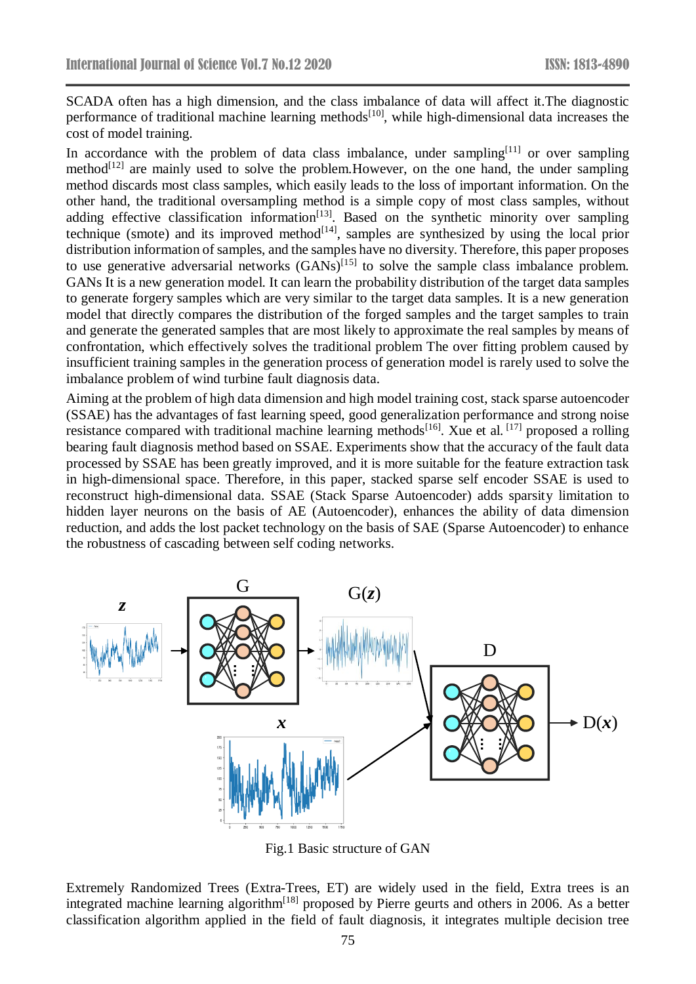SCADA often has a high dimension, and the class imbalance of data will affect it.The diagnostic performance of traditional machine learning methods<sup>[10]</sup>, while high-dimensional data increases the cost of model training.

In accordance with the problem of data class imbalance, under sampling<sup>[11]</sup> or over sampling method $[12]$  are mainly used to solve the problem. However, on the one hand, the under sampling method discards most class samples, which easily leads to the loss of important information. On the other hand, the traditional oversampling method is a simple copy of most class samples, without adding effective classification information $[13]$ . Based on the synthetic minority over sampling technique (smote) and its improved method<sup>[14]</sup>, samples are synthesized by using the local prior distribution information of samples, and the samples have no diversity. Therefore, this paper proposes to use generative adversarial networks  $(GANs)^{[15]}$  to solve the sample class imbalance problem. GANs It is a new generation model. It can learn the probability distribution of the target data samples to generate forgery samples which are very similar to the target data samples. It is a new generation model that directly compares the distribution of the forged samples and the target samples to train and generate the generated samples that are most likely to approximate the real samples by means of confrontation, which effectively solves the traditional problem The over fitting problem caused by insufficient training samples in the generation process of generation model is rarely used to solve the imbalance problem of wind turbine fault diagnosis data.

Aiming at the problem of high data dimension and high model training cost, stack sparse autoencoder (SSAE) has the advantages of fast learning speed, good generalization performance and strong noise resistance compared with traditional machine learning methods<sup>[16]</sup>. Xue et al. <sup>[17]</sup> proposed a rolling bearing fault diagnosis method based on SSAE. Experiments show that the accuracy of the fault data processed by SSAE has been greatly improved, and it is more suitable for the feature extraction task in high-dimensional space. Therefore, in this paper, stacked sparse self encoder SSAE is used to reconstruct high-dimensional data. SSAE (Stack Sparse Autoencoder) adds sparsity limitation to hidden layer neurons on the basis of AE (Autoencoder), enhances the ability of data dimension reduction, and adds the lost packet technology on the basis of SAE (Sparse Autoencoder) to enhance the robustness of cascading between self coding networks.



Fig.1 Basic structure of GAN

Extremely Randomized Trees (Extra-Trees, ET) are widely used in the field, Extra trees is an integrated machine learning algorithm<sup>[18]</sup> proposed by Pierre geurts and others in 2006. As a better classification algorithm applied in the field of fault diagnosis, it integrates multiple decision tree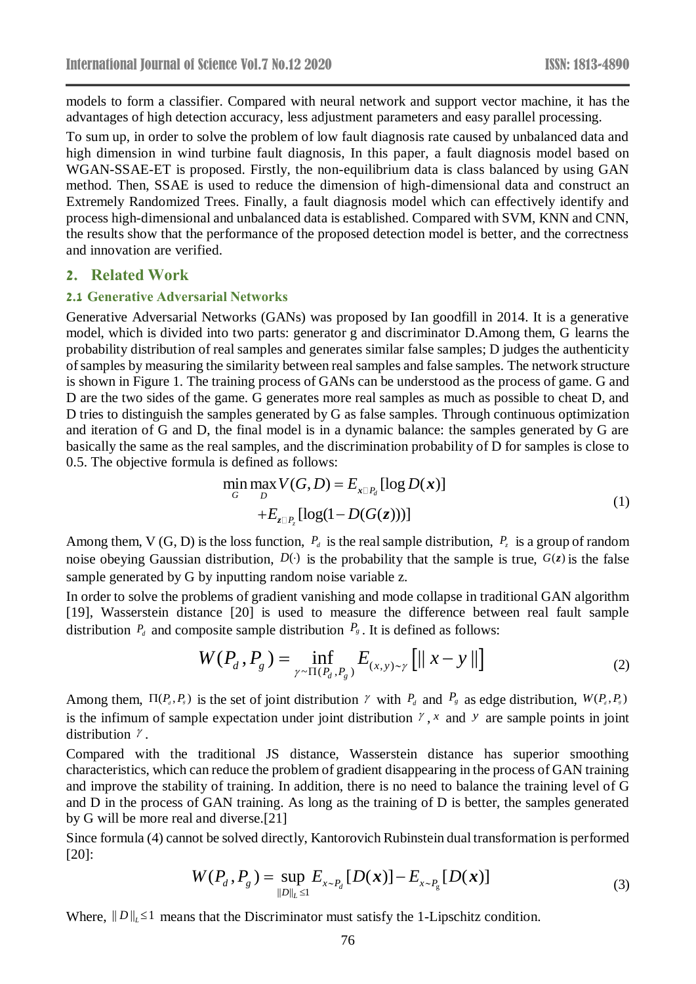models to form a classifier. Compared with neural network and support vector machine, it has the advantages of high detection accuracy, less adjustment parameters and easy parallel processing.

To sum up, in order to solve the problem of low fault diagnosis rate caused by unbalanced data and high dimension in wind turbine fault diagnosis, In this paper, a fault diagnosis model based on WGAN-SSAE-ET is proposed. Firstly, the non-equilibrium data is class balanced by using GAN method. Then, SSAE is used to reduce the dimension of high-dimensional data and construct an Extremely Randomized Trees. Finally, a fault diagnosis model which can effectively identify and process high-dimensional and unbalanced data is established. Compared with SVM, KNN and CNN, the results show that the performance of the proposed detection model is better, and the correctness and innovation are verified.

### **2. Related Work**

#### **2.1 Generative Adversarial Networks**

Generative Adversarial Networks (GANs) was proposed by Ian goodfill in 2014. It is a generative model, which is divided into two parts: generator g and discriminator D.Among them, G learns the probability distribution of real samples and generates similar false samples; D judges the authenticity of samples by measuring the similarity between real samples and false samples. The network structure is shown in Figure 1. The training process of GANs can be understood as the process of game. G and D are the two sides of the game. G generates more real samples as much as possible to cheat D, and D tries to distinguish the samples generated by G as false samples. Through continuous optimization and iteration of G and D, the final model is in a dynamic balance: the samples generated by G are basically the same as the real samples, and the discrimination probability of D for samples is close to 0.5. The objective formula is defined as follows:

$$
\min_{G} \max_{D} V(G, D) = E_{x \square P_d} [\log D(x)]
$$
  
+
$$
E_{z \square P_c} [\log(1 - D(G(z)))]
$$
 (1)

Among them, V (G, D) is the loss function,  $P_d$  is the real sample distribution,  $P_z$  is a group of random noise obeying Gaussian distribution,  $D(\cdot)$  is the probability that the sample is true,  $G(z)$  is the false sample generated by G by inputting random noise variable z.

In order to solve the problems of gradient vanishing and mode collapse in traditional GAN algorithm [19], Wasserstein distance [20] is used to measure the difference between real fault sample distribution  $P_d$  and composite sample distribution  $P_g$ . It is defined as follows:

$$
W(P_d, P_g) = \inf_{\gamma \sim \Pi(P_d, P_g)} E_{(x, y) \sim \gamma} [||x - y||]
$$
 (2)

Among them,  $\Pi(P_a, P_s)$  is the set of joint distribution  $\gamma$  with  $P_a$  and  $P_s$  as edge distribution,  $W(P_a, P_s)$ is the infimum of sample expectation under joint distribution  $\gamma$ , x and  $\gamma$  are sample points in joint distribution  $\gamma$ .

Compared with the traditional JS distance, Wasserstein distance has superior smoothing characteristics, which can reduce the problem of gradient disappearing in the process of GAN training and improve the stability of training. In addition, there is no need to balance the training level of G and D in the process of GAN training. As long as the training of D is better, the samples generated by G will be more real and diverse.[21]

Since formula (4) cannot be solved directly, Kantorovich Rubinstein dual transformation is performed [20]:

$$
W(P_d, P_g) = \sup_{\|D\|_{L} \leq 1} E_{x \sim P_d} [D(x)] - E_{x \sim P_g} [D(x)] \tag{3}
$$

Where,  $||D||_L \leq 1$  means that the Discriminator must satisfy the 1-Lipschitz condition.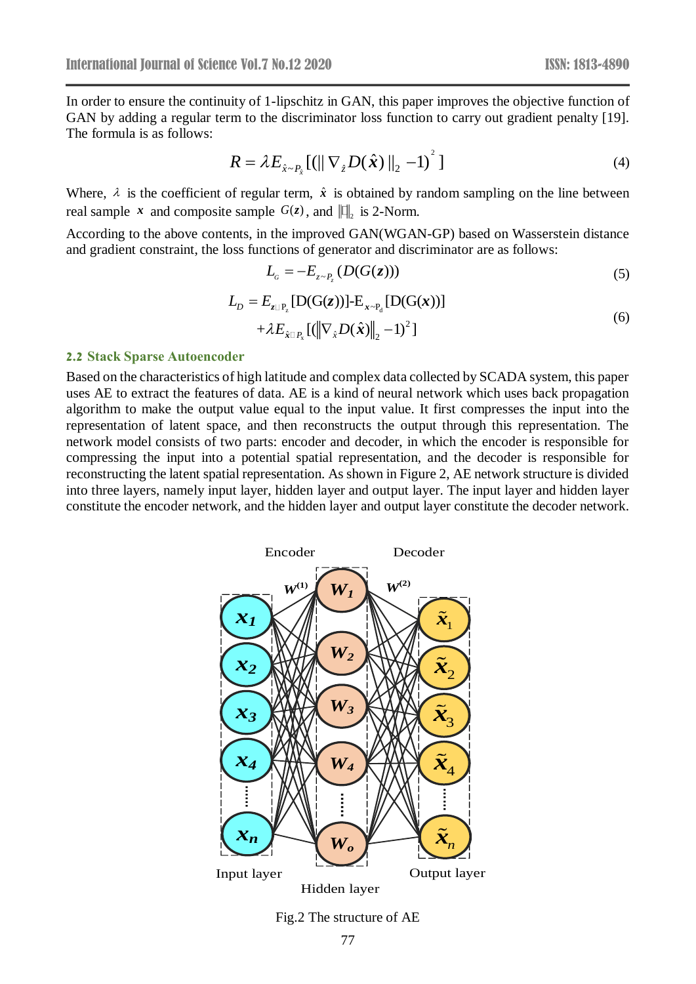In order to ensure the continuity of 1-lipschitz in GAN, this paper improves the objective function of GAN by adding a regular term to the discriminator loss function to carry out gradient penalty [19]. The formula is as follows:

$$
R = \lambda E_{\hat{x} \sim P_{\hat{x}}} [(||\nabla_{\hat{z}} D(\hat{x})||_2 - 1)^2]
$$
\n(4)

Where,  $\lambda$  is the coefficient of regular term,  $\hat{x}$  is obtained by random sampling on the line between real sample x and composite sample  $G(z)$ , and  $\left\| \right\|_2$  is 2-Norm.

According to the above contents, in the improved GAN(WGAN-GP) based on Wasserstein distance and gradient constraint, the loss functions of generator and discriminator are as follows:

$$
L_c = -E_{z \sim P_z} (D(G(z))) \tag{5}
$$

$$
L_D = E_{z \Box P_z} [D(G(z))] - E_{x \sim P_d} [D(G(x))]
$$
  
+  $\lambda E_{\hat{x} \Box P_x} [(\Vert \nabla_{\hat{x}} D(\hat{x}) \Vert_2 - 1)^2]$  (6)

#### **2.2 Stack Sparse Autoencoder**

Based on the characteristics of high latitude and complex data collected by SCADA system, this paper uses AE to extract the features of data. AE is a kind of neural network which uses back propagation algorithm to make the output value equal to the input value. It first compresses the input into the representation of latent space, and then reconstructs the output through this representation. The network model consists of two parts: encoder and decoder, in which the encoder is responsible for compressing the input into a potential spatial representation, and the decoder is responsible for reconstructing the latent spatial representation. As shown in Figure 2, AE network structure is divided into three layers, namely input layer, hidden layer and output layer. The input layer and hidden layer constitute the encoder network, and the hidden layer and output layer constitute the decoder network.



Fig.2 The structure of AE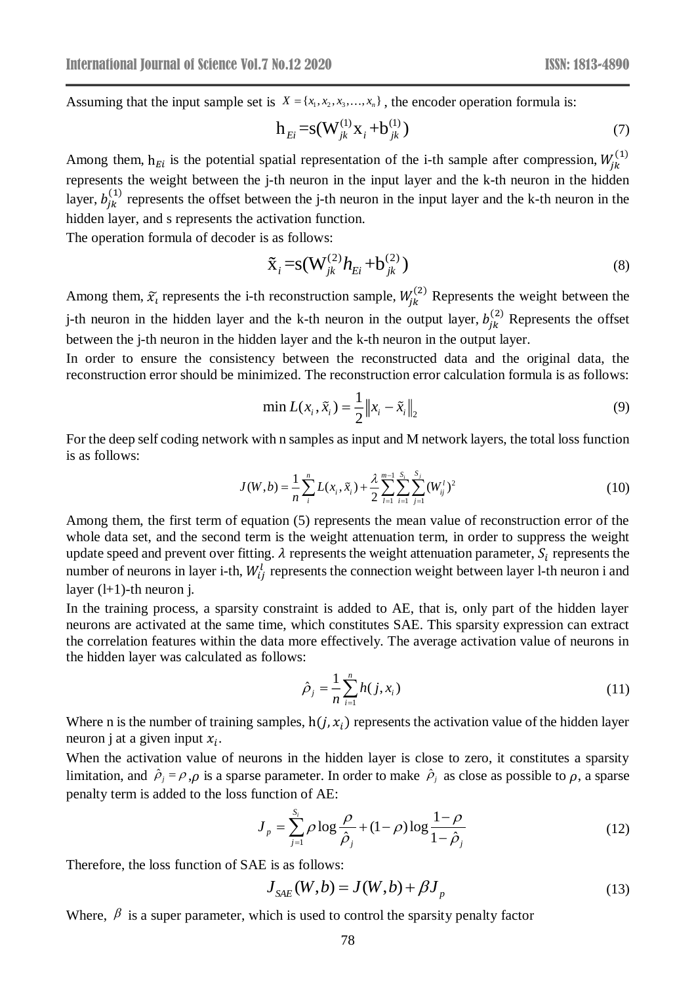Assuming that the input sample set is  $X = \{x_1, x_2, x_3, \dots, x_n\}$ , the encoder operation formula is:

$$
h_{E_i} = s(W_{jk}^{(1)}X_i + b_{jk}^{(1)})
$$
\n(7)

Among them,  $h_{Ei}$  is the potential spatial representation of the i-th sample after compression,  $W_{jk}^{(1)}$ represents the weight between the j-th neuron in the input layer and the k-th neuron in the hidden layer,  $b_{jk}^{(1)}$  represents the offset between the j-th neuron in the input layer and the k-th neuron in the hidden layer, and s represents the activation function.

The operation formula of decoder is as follows:

$$
\tilde{\mathbf{x}}_i = \mathbf{s}(\mathbf{W}_{jk}^{(2)} h_{Ei} + \mathbf{b}_{jk}^{(2)})
$$
\n(8)

Among them,  $\tilde{x}_i$  represents the i-th reconstruction sample,  $W_{jk}^{(2)}$  Represents the weight between the j-th neuron in the hidden layer and the k-th neuron in the output layer,  $b_{jk}^{(2)}$  Represents the offset between the j-th neuron in the hidden layer and the k-th neuron in the output layer.

In order to ensure the consistency between the reconstructed data and the original data, the reconstruction error should be minimized. The reconstruction error calculation formula is as follows:

$$
\min L(x_i, \tilde{x}_i) = \frac{1}{2} \|x_i - \tilde{x}_i\|_2
$$
\n(9)

For the deep self coding network with n samples as input and M network layers, the total loss function is as follows:

$$
J(W, b) = \frac{1}{n} \sum_{i=1}^{n} L(x_i, \tilde{x}_i) + \frac{\lambda}{2} \sum_{l=1}^{m-1} \sum_{i=1}^{S_l} \sum_{j=1}^{S_j} (W_{ij}^l)^2
$$
(10)

Among them, the first term of equation (5) represents the mean value of reconstruction error of the whole data set, and the second term is the weight attenuation term, in order to suppress the weight update speed and prevent over fitting.  $\lambda$  represents the weight attenuation parameter,  $S_i$  represents the number of neurons in layer i-th,  $W_{ij}^l$  represents the connection weight between layer l-th neuron i and layer  $(l+1)$ -th neuron j.

In the training process, a sparsity constraint is added to AE, that is, only part of the hidden layer neurons are activated at the same time, which constitutes SAE. This sparsity expression can extract the correlation features within the data more effectively. The average activation value of neurons in the hidden layer was calculated as follows:

$$
\hat{\rho}_j = \frac{1}{n} \sum_{i=1}^n h(j, x_i) \tag{11}
$$

Where n is the number of training samples,  $h(j, x_i)$  represents the activation value of the hidden layer neuron j at a given input  $x_i$ .

When the activation value of neurons in the hidden layer is close to zero, it constitutes a sparsity limitation, and  $\hat{\rho}_j = \rho$ ,  $\rho$  is a sparse parameter. In order to make  $\hat{\rho}_j$  as close as possible to  $\rho$ , a sparse penalty term is added to the loss function of AE:

$$
J_p = \sum_{j=1}^{S_i} \rho \log \frac{\rho}{\hat{\rho}_j} + (1 - \rho) \log \frac{1 - \rho}{1 - \hat{\rho}_j}
$$
(12)

Therefore, the loss function of SAE is as follows:

$$
J_{SAE}(W,b) = J(W,b) + \beta J_p \tag{13}
$$

Where,  $\beta$  is a super parameter, which is used to control the sparsity penalty factor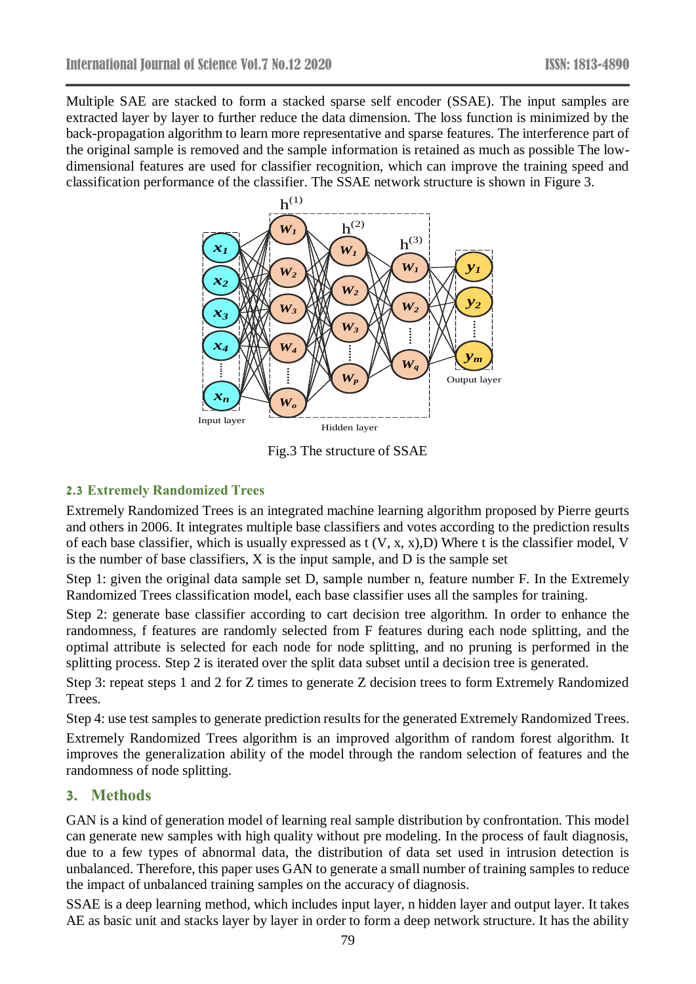Multiple SAE are stacked to form a stacked sparse self encoder (SSAE). The input samples are extracted layer by layer to further reduce the data dimension. The loss function is minimized by the back-propagation algorithm to learn more representative and sparse features. The interference part of the original sample is removed and the sample information is retained as much as possible The lowdimensional features are used for classifier recognition, which can improve the training speed and classification performance of the classifier. The SSAE network structure is shown in Figure 3.



Fig.3 The structure of SSAE

## **2.3 Extremely Randomized Trees**

Extremely Randomized Trees is an integrated machine learning algorithm proposed by Pierre geurts and others in 2006. It integrates multiple base classifiers and votes according to the prediction results of each base classifier, which is usually expressed as t (V, x, x),D) Where t is the classifier model, V is the number of base classifiers, X is the input sample, and D is the sample set

Step 1: given the original data sample set D, sample number n, feature number F. In the Extremely Randomized Trees classification model, each base classifier uses all the samples for training.

Step 2: generate base classifier according to cart decision tree algorithm. In order to enhance the randomness, f features are randomly selected from F features during each node splitting, and the optimal attribute is selected for each node for node splitting, and no pruning is performed in the splitting process. Step 2 is iterated over the split data subset until a decision tree is generated.

Step 3: repeat steps 1 and 2 for Z times to generate Z decision trees to form Extremely Randomized Trees.

Step 4: use test samples to generate prediction results for the generated Extremely Randomized Trees.

Extremely Randomized Trees algorithm is an improved algorithm of random forest algorithm. It improves the generalization ability of the model through the random selection of features and the randomness of node splitting.

# **3. Methods**

GAN is a kind of generation model of learning real sample distribution by confrontation. This model can generate new samples with high quality without pre modeling. In the process of fault diagnosis, due to a few types of abnormal data, the distribution of data set used in intrusion detection is unbalanced. Therefore, this paper uses GAN to generate a small number of training samples to reduce the impact of unbalanced training samples on the accuracy of diagnosis.

SSAE is a deep learning method, which includes input layer, n hidden layer and output layer. It takes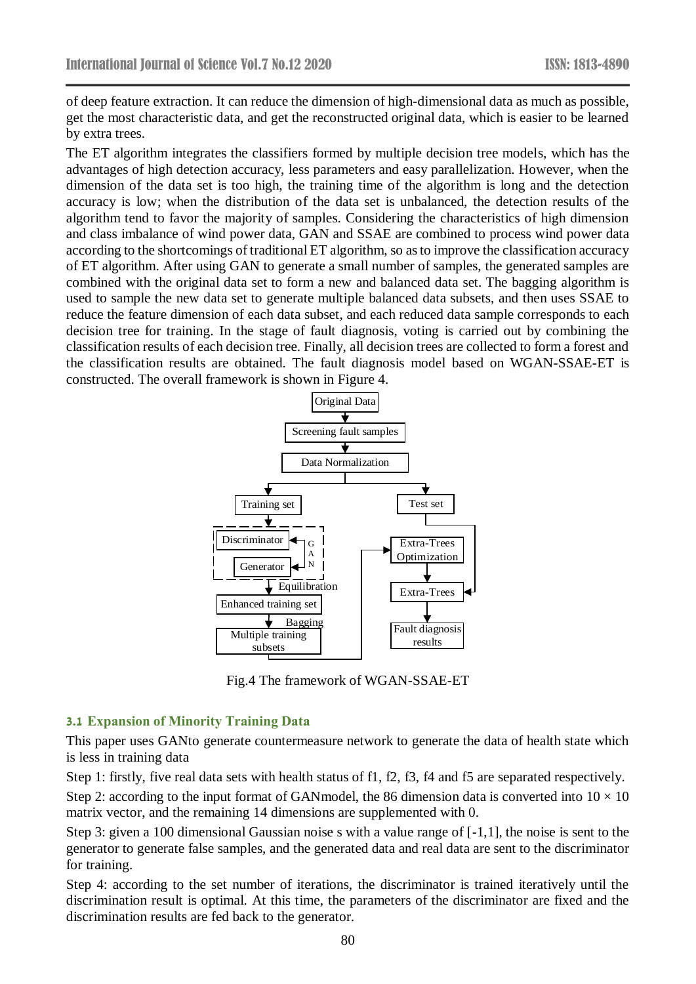of deep feature extraction. It can reduce the dimension of high-dimensional data as much as possible, get the most characteristic data, and get the reconstructed original data, which is easier to be learned by extra trees.

The ET algorithm integrates the classifiers formed by multiple decision tree models, which has the advantages of high detection accuracy, less parameters and easy parallelization. However, when the dimension of the data set is too high, the training time of the algorithm is long and the detection accuracy is low; when the distribution of the data set is unbalanced, the detection results of the algorithm tend to favor the majority of samples. Considering the characteristics of high dimension and class imbalance of wind power data, GAN and SSAE are combined to process wind power data according to the shortcomings of traditional ET algorithm, so as to improve the classification accuracy of ET algorithm. After using GAN to generate a small number of samples, the generated samples are combined with the original data set to form a new and balanced data set. The bagging algorithm is used to sample the new data set to generate multiple balanced data subsets, and then uses SSAE to reduce the feature dimension of each data subset, and each reduced data sample corresponds to each decision tree for training. In the stage of fault diagnosis, voting is carried out by combining the classification results of each decision tree. Finally, all decision trees are collected to form a forest and the classification results are obtained. The fault diagnosis model based on WGAN-SSAE-ET is constructed. The overall framework is shown in Figure 4.



Fig.4 The framework of WGAN-SSAE-ET

### **3.1 Expansion of Minority Training Data**

This paper uses GANto generate countermeasure network to generate the data of health state which is less in training data

Step 1: firstly, five real data sets with health status of f1, f2, f3, f4 and f5 are separated respectively. Step 2: according to the input format of GANmodel, the 86 dimension data is converted into  $10 \times 10$ matrix vector, and the remaining 14 dimensions are supplemented with 0.

Step 3: given a 100 dimensional Gaussian noise s with a value range of [-1,1], the noise is sent to the generator to generate false samples, and the generated data and real data are sent to the discriminator for training.

Step 4: according to the set number of iterations, the discriminator is trained iteratively until the discrimination result is optimal. At this time, the parameters of the discriminator are fixed and the discrimination results are fed back to the generator.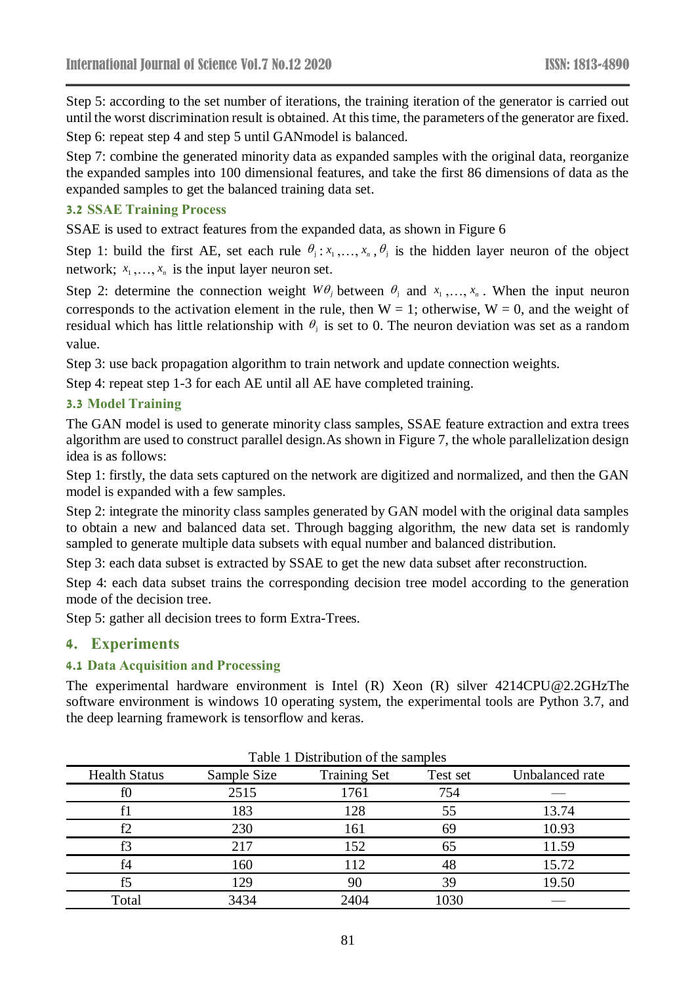Step 5: according to the set number of iterations, the training iteration of the generator is carried out until the worst discrimination result is obtained. At this time, the parameters of the generator are fixed.

Step 6: repeat step 4 and step 5 until GANmodel is balanced.

Step 7: combine the generated minority data as expanded samples with the original data, reorganize the expanded samples into 100 dimensional features, and take the first 86 dimensions of data as the expanded samples to get the balanced training data set.

### **3.2 SSAE Training Process**

SSAE is used to extract features from the expanded data, as shown in Figure 6

Step 1: build the first AE, set each rule  $\theta_i$ :  $x_1, \ldots, x_n$ ,  $\theta_j$  is the hidden layer neuron of the object network;  $x_1, \ldots, x_n$  is the input layer neuron set.

Step 2: determine the connection weight  $W\theta_j$  between  $\theta_j$  and  $x_1, \ldots, x_n$ . When the input neuron corresponds to the activation element in the rule, then  $W = 1$ ; otherwise,  $W = 0$ , and the weight of residual which has little relationship with  $\theta_j$  is set to 0. The neuron deviation was set as a random value.

Step 3: use back propagation algorithm to train network and update connection weights.

Step 4: repeat step 1-3 for each AE until all AE have completed training.

### **3.3 Model Training**

The GAN model is used to generate minority class samples, SSAE feature extraction and extra trees algorithm are used to construct parallel design.As shown in Figure 7, the whole parallelization design idea is as follows:

Step 1: firstly, the data sets captured on the network are digitized and normalized, and then the GAN model is expanded with a few samples.

Step 2: integrate the minority class samples generated by GAN model with the original data samples to obtain a new and balanced data set. Through bagging algorithm, the new data set is randomly sampled to generate multiple data subsets with equal number and balanced distribution.

Step 3: each data subset is extracted by SSAE to get the new data subset after reconstruction.

Step 4: each data subset trains the corresponding decision tree model according to the generation mode of the decision tree.

Step 5: gather all decision trees to form Extra-Trees.

### **4. Experiments**

### **4.1 Data Acquisition and Processing**

The experimental hardware environment is Intel (R) Xeon (R) silver 4214CPU@2.2GHzThe software environment is windows 10 operating system, the experimental tools are Python 3.7, and the deep learning framework is tensorflow and keras.

| I able 1 Distribution of the samples |             |                     |          |                 |  |  |
|--------------------------------------|-------------|---------------------|----------|-----------------|--|--|
| <b>Health Status</b>                 | Sample Size | <b>Training Set</b> | Test set | Unbalanced rate |  |  |
| fθ                                   | 2515        | 1761                | 754      |                 |  |  |
|                                      | 183         | 128                 | 55       | 13.74           |  |  |
|                                      | 230         | 161                 | 69       | 10.93           |  |  |
|                                      | 217         | 152                 |          | 11.59           |  |  |
| f <sub>4</sub>                       | 160         | 112                 | 48       | 15.72           |  |  |
|                                      | 129         | 90                  | 39       | 19.50           |  |  |
| Total                                | 3434        | 2404                | 1030     |                 |  |  |

 $T$ Table 1 Distribution of the samples of the samples of the samples of the samples of the samples of the samples of the samples of the samples of the samples of the samples of the samples of the samples of the samples of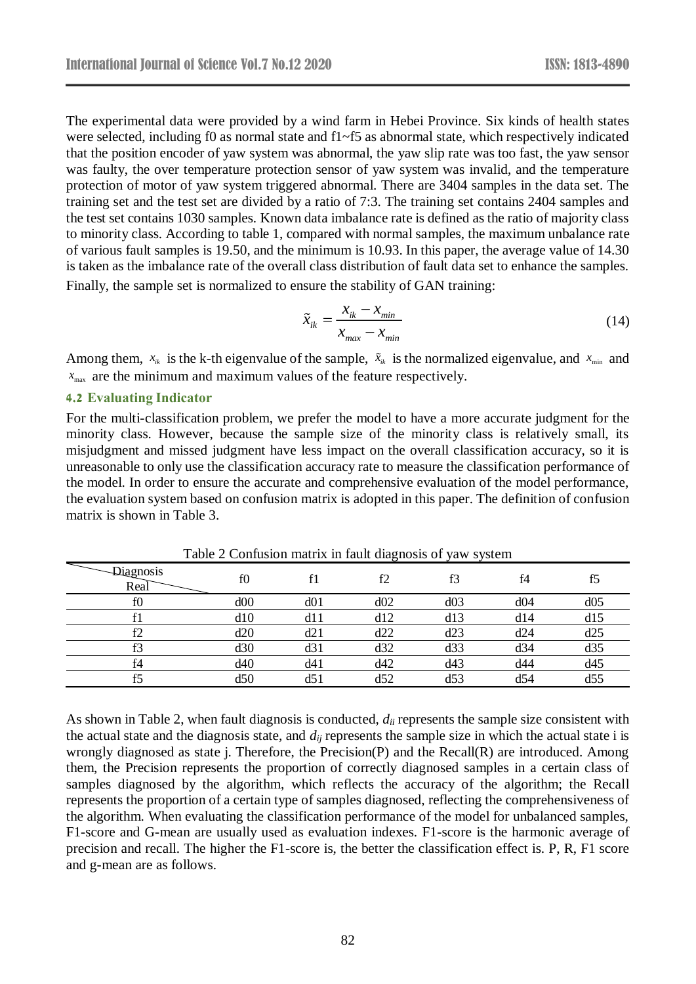The experimental data were provided by a wind farm in Hebei Province. Six kinds of health states were selected, including f0 as normal state and f1~f5 as abnormal state, which respectively indicated that the position encoder of yaw system was abnormal, the yaw slip rate was too fast, the yaw sensor was faulty, the over temperature protection sensor of yaw system was invalid, and the temperature protection of motor of yaw system triggered abnormal. There are 3404 samples in the data set. The training set and the test set are divided by a ratio of 7:3. The training set contains 2404 samples and the test set contains 1030 samples. Known data imbalance rate is defined as the ratio of majority class to minority class. According to table 1, compared with normal samples, the maximum unbalance rate of various fault samples is 19.50, and the minimum is 10.93. In this paper, the average value of 14.30 is taken as the imbalance rate of the overall class distribution of fault data set to enhance the samples. Finally, the sample set is normalized to ensure the stability of GAN training:

$$
\tilde{x}_{ik} = \frac{x_{ik} - x_{min}}{x_{max} - x_{min}}
$$
\n(14)

Among them,  $x_{ik}$  is the k-th eigenvalue of the sample,  $\tilde{x}_{ik}$  is the normalized eigenvalue, and  $x_{min}$  and max *<sup>x</sup>* are the minimum and maximum values of the feature respectively.

#### **4.2 Evaluating Indicator**

For the multi-classification problem, we prefer the model to have a more accurate judgment for the minority class. However, because the sample size of the minority class is relatively small, its misjudgment and missed judgment have less impact on the overall classification accuracy, so it is unreasonable to only use the classification accuracy rate to measure the classification performance of the model. In order to ensure the accurate and comprehensive evaluation of the model performance, the evaluation system based on confusion matrix is adopted in this paper. The definition of confusion matrix is shown in Table 3.

| Diagnosis<br>Real | f0  |     | f2  | f3  | f <sub>4</sub> | f5  |
|-------------------|-----|-----|-----|-----|----------------|-----|
| ΙU                | d00 | d01 | d02 | d03 | d04            | d05 |
|                   | d10 | d11 | d12 | d13 | d14            | d15 |
|                   | d20 | d21 | d22 | d23 | d24            | d25 |
|                   | d30 | d31 | d32 | d33 | d34            | d35 |
| f4                | d40 | d41 | d42 | d43 | d44            | d45 |
|                   | d50 | d5  | d52 | d53 | d54            | d55 |

Table 2 Confusion matrix in fault diagnosis of yaw system

As shown in Table 2, when fault diagnosis is conducted, *dii* represents the sample size consistent with the actual state and the diagnosis state, and *dij* represents the sample size in which the actual state i is wrongly diagnosed as state j. Therefore, the Precision(P) and the Recall(R) are introduced. Among them, the Precision represents the proportion of correctly diagnosed samples in a certain class of samples diagnosed by the algorithm, which reflects the accuracy of the algorithm; the Recall represents the proportion of a certain type of samples diagnosed, reflecting the comprehensiveness of the algorithm. When evaluating the classification performance of the model for unbalanced samples, F1-score and G-mean are usually used as evaluation indexes. F1-score is the harmonic average of precision and recall. The higher the F1-score is, the better the classification effect is. P, R, F1 score and g-mean are as follows.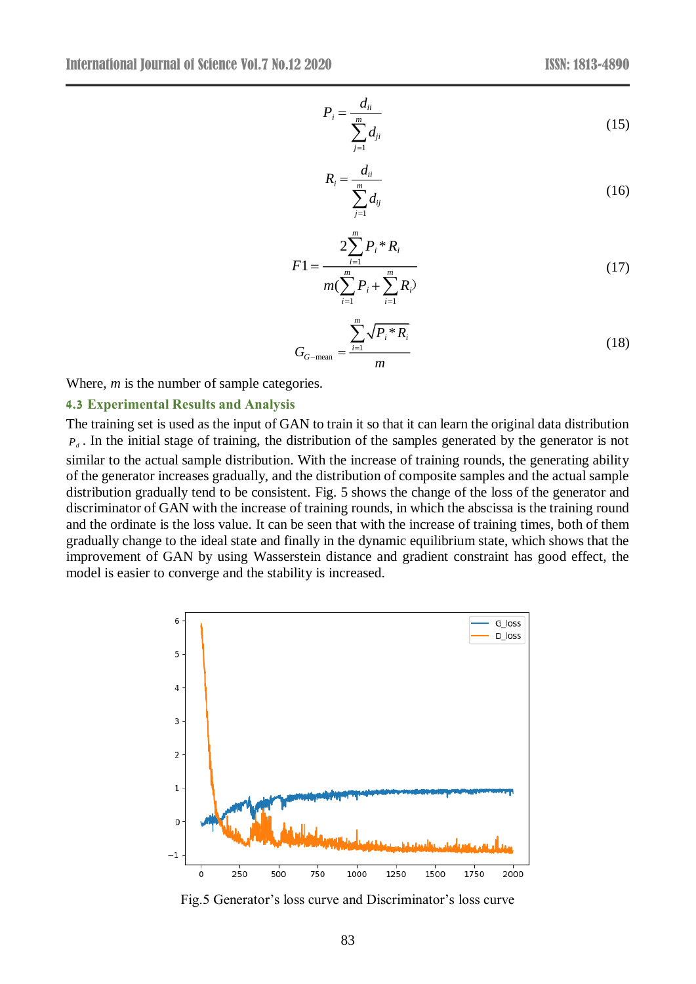$$
P_i = \frac{d_{ii}}{\sum_{j=1}^{m} d_{ji}}\tag{15}
$$

$$
R_i = \frac{d_{ii}}{\sum_{j=1}^{m} d_{ij}}\tag{16}
$$

$$
F1 = \frac{2\sum_{i=1}^{m} P_i * R_i}{m(\sum_{i=1}^{m} P_i + \sum_{i=1}^{m} R_i)}
$$
(17)

$$
G_{G-\text{mean}} = \frac{\sum_{i=1}^{m} \sqrt{P_i * R_i}}{m}
$$
\n(18)

Where, *m* is the number of sample categories.

#### **4.3 Experimental Results and Analysis**

The training set is used as the input of GAN to train it so that it can learn the original data distribution  $P_d$ . In the initial stage of training, the distribution of the samples generated by the generator is not similar to the actual sample distribution. With the increase of training rounds, the generating ability of the generator increases gradually, and the distribution of composite samples and the actual sample distribution gradually tend to be consistent. Fig. 5 shows the change of the loss of the generator and discriminator of GAN with the increase of training rounds, in which the abscissa is the training round and the ordinate is the loss value. It can be seen that with the increase of training times, both of them gradually change to the ideal state and finally in the dynamic equilibrium state, which shows that the improvement of GAN by using Wasserstein distance and gradient constraint has good effect, the model is easier to converge and the stability is increased.



Fig.5 Generator's loss curve and Discriminator's loss curve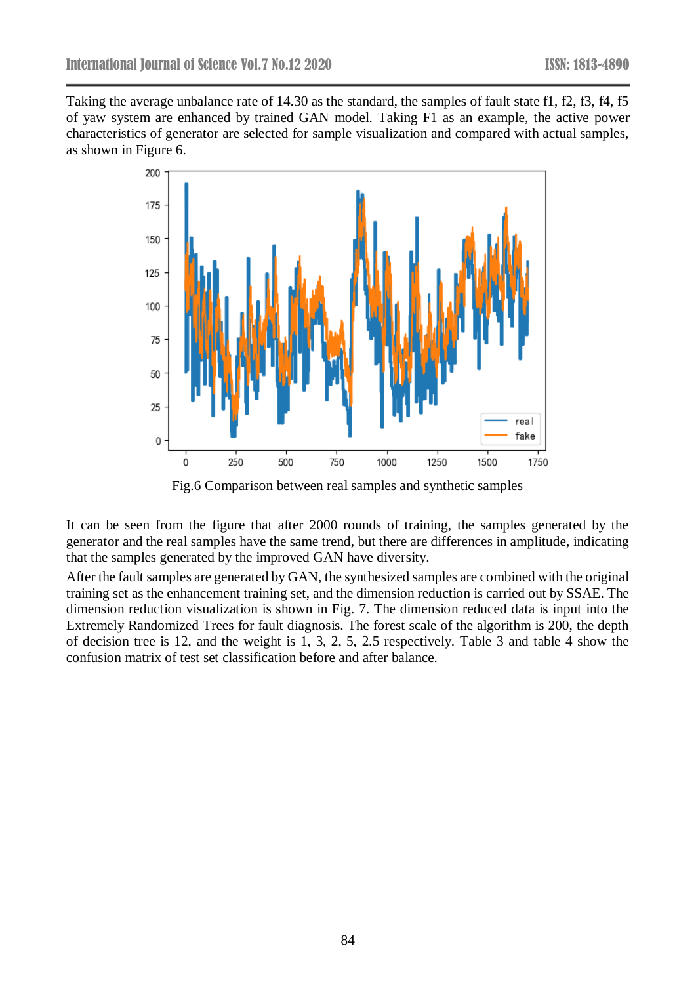Taking the average unbalance rate of 14.30 as the standard, the samples of fault state f1, f2, f3, f4, f5 of yaw system are enhanced by trained GAN model. Taking F1 as an example, the active power characteristics of generator are selected for sample visualization and compared with actual samples, as shown in Figure 6.



Fig.6 Comparison between real samples and synthetic samples

It can be seen from the figure that after 2000 rounds of training, the samples generated by the generator and the real samples have the same trend, but there are differences in amplitude, indicating that the samples generated by the improved GAN have diversity.

After the fault samples are generated by GAN, the synthesized samples are combined with the original training set as the enhancement training set, and the dimension reduction is carried out by SSAE. The dimension reduction visualization is shown in Fig. 7. The dimension reduced data is input into the Extremely Randomized Trees for fault diagnosis. The forest scale of the algorithm is 200, the depth of decision tree is 12, and the weight is 1, 3, 2, 5, 2.5 respectively. Table 3 and table 4 show the confusion matrix of test set classification before and after balance.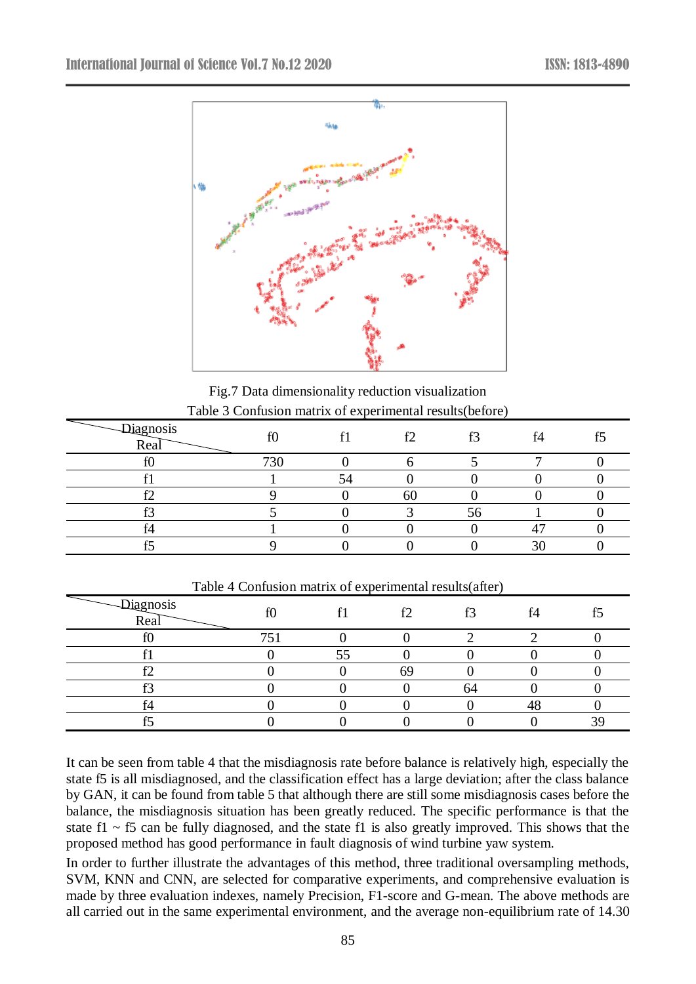

Fig.7 Data dimensionality reduction visualization Table 3 Confusion matrix of experimental results(before)

| Diagnosis<br>Real | f0  | £٦ | f2<br>IJ | f <sub>4</sub> | £Ξ |
|-------------------|-----|----|----------|----------------|----|
|                   | 730 |    |          |                |    |
|                   |     |    |          |                |    |
| ∸                 |     | ol |          |                |    |
|                   |     |    | Эb       |                |    |
| די                |     |    |          |                |    |
|                   |     |    |          | $\sim$         |    |

| Diagnosis<br>Real | $\infty$ | $^{\circ}$ | f2 | f3 | f4 | £Ε |
|-------------------|----------|------------|----|----|----|----|
| $\alpha$<br>11.   | ワミ       |            |    |    |    |    |
|                   |          | ЭЭ         |    |    |    |    |
| مہ<br>┸           |          |            |    |    |    |    |
| $\sim$            |          |            |    | h  |    |    |
| c.<br>14          |          |            |    |    |    |    |
|                   |          |            |    |    |    |    |

Table 4 Confusion matrix of experimental results(after)

It can be seen from table 4 that the misdiagnosis rate before balance is relatively high, especially the state f5 is all misdiagnosed, and the classification effect has a large deviation; after the class balance by GAN, it can be found from table 5 that although there are still some misdiagnosis cases before the balance, the misdiagnosis situation has been greatly reduced. The specific performance is that the state f1  $\sim$  f5 can be fully diagnosed, and the state f1 is also greatly improved. This shows that the proposed method has good performance in fault diagnosis of wind turbine yaw system.

In order to further illustrate the advantages of this method, three traditional oversampling methods, SVM, KNN and CNN, are selected for comparative experiments, and comprehensive evaluation is made by three evaluation indexes, namely Precision, F1-score and G-mean. The above methods are all carried out in the same experimental environment, and the average non-equilibrium rate of 14.30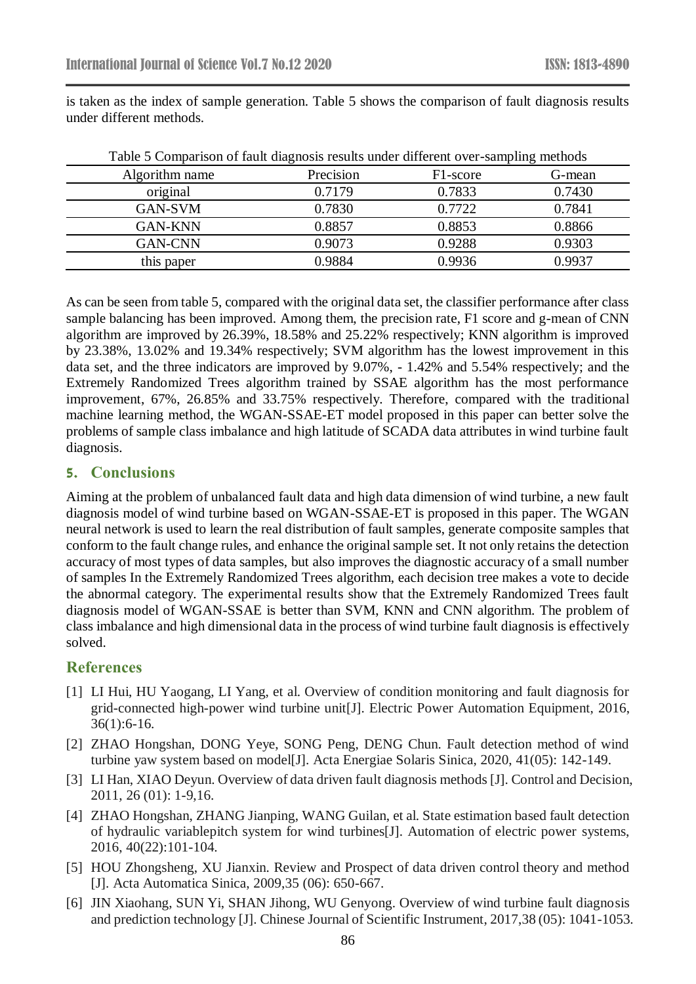is taken as the index of sample generation. Table 5 shows the comparison of fault diagnosis results under different methods.

|                |           |                       | ╰      |
|----------------|-----------|-----------------------|--------|
| Algorithm name | Precision | F <sub>1</sub> -score | G-mean |
| original       | 0.7179    | 0.7833                | 0.7430 |
| <b>GAN-SVM</b> | 0.7830    | 0.7722                | 0.7841 |
| GAN-KNN        | 0.8857    | 0.8853                | 0.8866 |
| GAN-CNN        | 0.9073    | 0.9288                | 0.9303 |
| this paper     | 0.9884    | 0.9936                | 0.9937 |

Table 5 Comparison of fault diagnosis results under different over-sampling methods

As can be seen from table 5, compared with the original data set, the classifier performance after class sample balancing has been improved. Among them, the precision rate, F1 score and g-mean of CNN algorithm are improved by 26.39%, 18.58% and 25.22% respectively; KNN algorithm is improved by 23.38%, 13.02% and 19.34% respectively; SVM algorithm has the lowest improvement in this data set, and the three indicators are improved by 9.07%, - 1.42% and 5.54% respectively; and the Extremely Randomized Trees algorithm trained by SSAE algorithm has the most performance improvement, 67%, 26.85% and 33.75% respectively. Therefore, compared with the traditional machine learning method, the WGAN-SSAE-ET model proposed in this paper can better solve the problems of sample class imbalance and high latitude of SCADA data attributes in wind turbine fault diagnosis.

## **5. Conclusions**

Aiming at the problem of unbalanced fault data and high data dimension of wind turbine, a new fault diagnosis model of wind turbine based on WGAN-SSAE-ET is proposed in this paper. The WGAN neural network is used to learn the real distribution of fault samples, generate composite samples that conform to the fault change rules, and enhance the original sample set. It not only retains the detection accuracy of most types of data samples, but also improves the diagnostic accuracy of a small number of samples In the Extremely Randomized Trees algorithm, each decision tree makes a vote to decide the abnormal category. The experimental results show that the Extremely Randomized Trees fault diagnosis model of WGAN-SSAE is better than SVM, KNN and CNN algorithm. The problem of class imbalance and high dimensional data in the process of wind turbine fault diagnosis is effectively solved.

# **References**

- [1] LI Hui, HU Yaogang, LI Yang, et al. Overview of condition monitoring and fault diagnosis for grid-connected high-power wind turbine unit[J]. Electric Power Automation Equipment, 2016, 36(1):6-16.
- [2] ZHAO Hongshan, DONG Yeye, SONG Peng, DENG Chun. Fault detection method of wind turbine yaw system based on model[J]. Acta Energiae Solaris Sinica, 2020, 41(05): 142-149.
- [3] LI Han, XIAO Deyun. Overview of data driven fault diagnosis methods [J]. Control and Decision, 2011, 26 (01): 1-9,16.
- [4] ZHAO Hongshan, ZHANG Jianping, WANG Guilan, et al. State estimation based fault detection of hydraulic variablepitch system for wind turbines[J]. Automation of electric power systems, 2016, 40(22):101-104.
- [5] HOU Zhongsheng, XU Jianxin. Review and Prospect of data driven control theory and method [J]. Acta Automatica Sinica, 2009,35 (06): 650-667.
- [6] JIN Xiaohang, SUN Yi, SHAN Jihong, WU Genyong. Overview of wind turbine fault diagnosis and prediction technology [J]. Chinese Journal of Scientific Instrument, 2017,38 (05): 1041-1053.